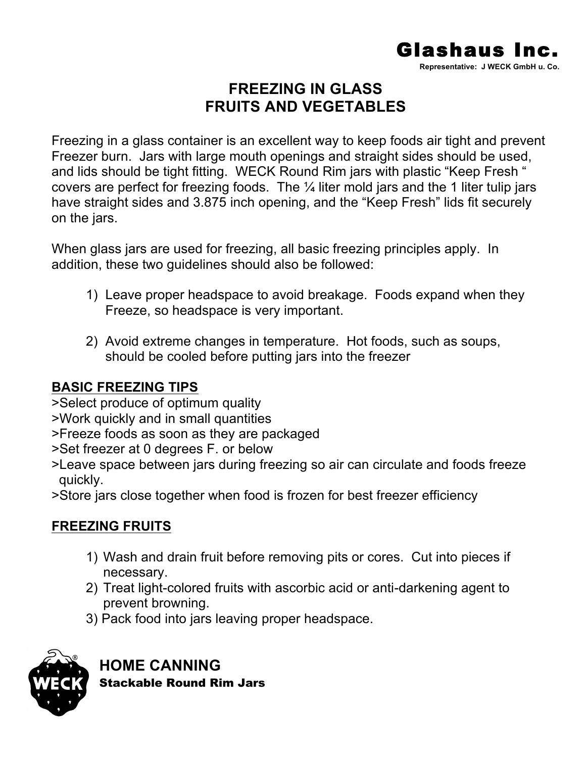

# **FREEZING IN GLASS FRUITS AND VEGETABLES**

Freezing in a glass container is an excellent way to keep foods air tight and prevent Freezer burn. Jars with large mouth openings and straight sides should be used, and lids should be tight fitting. WECK Round Rim jars with plastic "Keep Fresh " covers are perfect for freezing foods. The ¼ liter mold jars and the 1 liter tulip jars have straight sides and 3.875 inch opening, and the "Keep Fresh" lids fit securely on the jars.

When glass jars are used for freezing, all basic freezing principles apply. In addition, these two guidelines should also be followed:

- 1) Leave proper headspace to avoid breakage. Foods expand when they Freeze, so headspace is very important.
- 2) Avoid extreme changes in temperature. Hot foods, such as soups, should be cooled before putting jars into the freezer

## **BASIC FREEZING TIPS**

- >Select produce of optimum quality
- >Work quickly and in small quantities
- >Freeze foods as soon as they are packaged
- >Set freezer at 0 degrees F. or below
- >Leave space between jars during freezing so air can circulate and foods freeze quickly.
- >Store jars close together when food is frozen for best freezer efficiency

## **FREEZING FRUITS**

- 1) Wash and drain fruit before removing pits or cores. Cut into pieces if necessary.
- 2) Treat light-colored fruits with ascorbic acid or anti-darkening agent to prevent browning.
- 3) Pack food into jars leaving proper headspace.



**HOME CANNING** Stackable Round Rim Jars